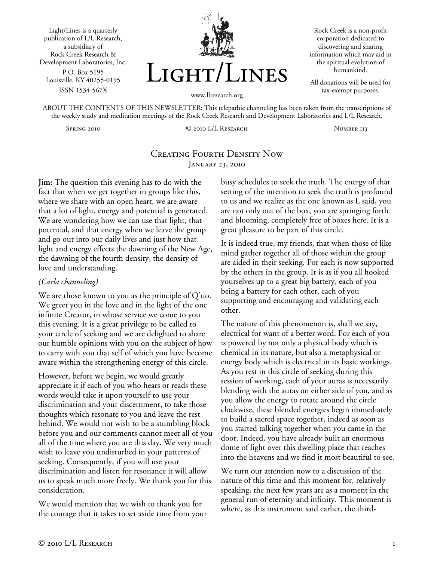Light/Lines is a quarterly publication of L/L Research, a subsidiary of Rock Creek Research & Development Laboratories, Inc. P.O. Box 5195 Louisville, KY 40255-0195 ISSN 1534-567X



Rock Creek is a non-profit corporation dedicated to discovering and sharing information which may aid in the spiritual evolution of humankind.

All donations will be used for tax-exempt purposes.

ABOUT THE CONTENTS OF THIS NEWSLETTER: This telepathic channeling has been taken from the transcriptions of the weekly study and meditation meetings of the Rock Creek Research and Development Laboratories and L/L Research.

Spring 2010 © 2010 L/L Research Number 113

# Creating Fourth Density Now January 23, 2010

**Jim:** The question this evening has to do with the fact that when we get together in groups like this, where we share with an open heart, we are aware that a lot of light, energy and potential is generated. We are wondering how we can use that light, that potential, and that energy when we leave the group and go out into our daily lives and just how that light and energy effects the dawning of the New Age, the dawning of the fourth density, the density of love and understanding.

#### *(Carla channeling)*

We are those known to you as the principle of Q'uo. We greet you in the love and in the light of the one infinite Creator, in whose service we come to you this evening. It is a great privilege to be called to your circle of seeking and we are delighted to share our humble opinions with you on the subject of how to carry with you that self of which you have become aware within the strengthening energy of this circle.

However, before we begin, we would greatly appreciate it if each of you who hears or reads these words would take it upon yourself to use your discrimination and your discernment, to take those thoughts which resonate to you and leave the rest behind. We would not wish to be a stumbling block before you and our comments cannot meet all of you all of the time where you are this day. We very much wish to leave you undisturbed in your patterns of seeking. Consequently, if you will use your discrimination and listen for resonance it will allow us to speak much more freely. We thank you for this consideration.

We would mention that we wish to thank you for the courage that it takes to set aside time from your busy schedules to seek the truth. The energy of that setting of the intention to seek the truth is profound to us and we realize as the one known as L said, you are not only out of the box, you are springing forth and blooming, completely free of boxes here. It is a great pleasure to be part of this circle.

It is indeed true, my friends, that when those of like mind gather together all of those within the group are aided in their seeking. For each is now supported by the others in the group. It is as if you all hooked yourselves up to a great big battery, each of you being a battery for each other, each of you supporting and encouraging and validating each other.

The nature of this phenomenon is, shall we say, electrical for want of a better word. For each of you is powered by not only a physical body which is chemical in its nature, but also a metaphysical or energy body which is electrical in its basic workings. As you rest in this circle of seeking during this session of working, each of your auras is necessarily blending with the auras on either side of you, and as you allow the energy to rotate around the circle clockwise, these blended energies begin immediately to build a sacred space together, indeed as soon as you started talking together when you came in the door. Indeed, you have already built an enormous dome of light over this dwelling place that reaches into the heavens and we find it most beautiful to see.

We turn our attention now to a discussion of the nature of this time and this moment for, relatively speaking, the next few years are as a moment in the general run of eternity and infinity. This moment is where, as this instrument said earlier, the third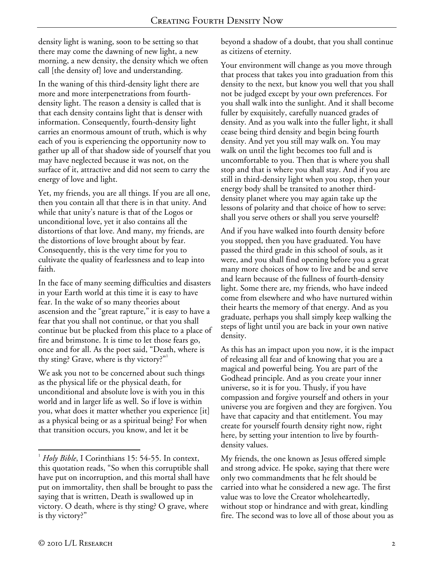density light is waning, soon to be setting so that there may come the dawning of new light, a new morning, a new density, the density which we often call [the density of] love and understanding.

In the waning of this third-density light there are more and more interpenetrations from fourthdensity light. The reason a density is called that is that each density contains light that is denser with information. Consequently, fourth-density light carries an enormous amount of truth, which is why each of you is experiencing the opportunity now to gather up all of that shadow side of yourself that you may have neglected because it was not, on the surface of it, attractive and did not seem to carry the energy of love and light.

Yet, my friends, you are all things. If you are all one, then you contain all that there is in that unity. And while that unity's nature is that of the Logos or unconditional love, yet it also contains all the distortions of that love. And many, my friends, are the distortions of love brought about by fear. Consequently, this is the very time for you to cultivate the quality of fearlessness and to leap into faith.

In the face of many seeming difficulties and disasters in your Earth world at this time it is easy to have fear. In the wake of so many theories about ascension and the "great rapture," it is easy to have a fear that you shall not continue, or that you shall continue but be plucked from this place to a place of fire and brimstone. It is time to let those fears go, once and for all. As the poet said, "Death, where is thy sting? Grave, where is thy victory?"1

We ask you not to be concerned about such things as the physical life or the physical death, for unconditional and absolute love is with you in this world and in larger life as well. So if love is within you, what does it matter whether you experience [it] as a physical being or as a spiritual being? For when that transition occurs, you know, and let it be

beyond a shadow of a doubt, that you shall continue as citizens of eternity.

Your environment will change as you move through that process that takes you into graduation from this density to the next, but know you well that you shall not be judged except by your own preferences. For you shall walk into the sunlight. And it shall become fuller by exquisitely, carefully nuanced grades of density. And as you walk into the fuller light, it shall cease being third density and begin being fourth density. And yet you still may walk on. You may walk on until the light becomes too full and is uncomfortable to you. Then that is where you shall stop and that is where you shall stay. And if you are still in third-density light when you stop, then your energy body shall be transited to another thirddensity planet where you may again take up the lessons of polarity and that choice of how to serve: shall you serve others or shall you serve yourself?

And if you have walked into fourth density before you stopped, then you have graduated. You have passed the third grade in this school of souls, as it were, and you shall find opening before you a great many more choices of how to live and be and serve and learn because of the fullness of fourth-density light. Some there are, my friends, who have indeed come from elsewhere and who have nurtured within their hearts the memory of that energy. And as you graduate, perhaps you shall simply keep walking the steps of light until you are back in your own native density.

As this has an impact upon you now, it is the impact of releasing all fear and of knowing that you are a magical and powerful being. You are part of the Godhead principle. And as you create your inner universe, so it is for you. Thusly, if you have compassion and forgive yourself and others in your universe you are forgiven and they are forgiven. You have that capacity and that entitlement. You may create for yourself fourth density right now, right here, by setting your intention to live by fourthdensity values.

My friends, the one known as Jesus offered simple and strong advice. He spoke, saying that there were only two commandments that he felt should be carried into what he considered a new age. The first value was to love the Creator wholeheartedly, without stop or hindrance and with great, kindling fire. The second was to love all of those about you as

 $\overline{a}$ 

<sup>&</sup>lt;sup>1</sup> Holy Bible, I Corinthians 15: 54-55. In context, this quotation reads, "So when this corruptible shall have put on incorruption, and this mortal shall have put on immortality, then shall be brought to pass the saying that is written, Death is swallowed up in victory. O death, where is thy sting? O grave, where is thy victory?"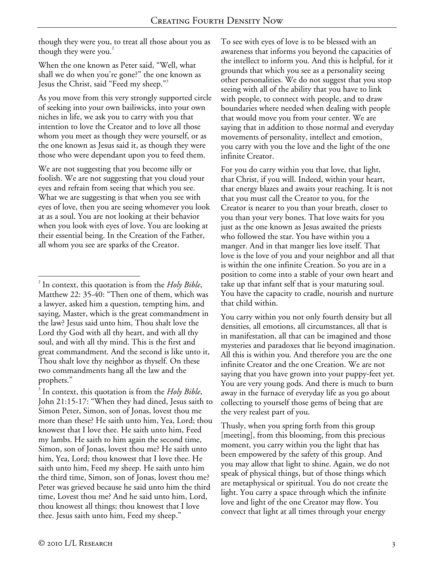though they were you, to treat all those about you as though they were you.<sup>2</sup>

When the one known as Peter said, "Well, what shall we do when you're gone?" the one known as Jesus the Christ, said "Feed my sheep."3

As you move from this very strongly supported circle of seeking into your own bailiwicks, into your own niches in life, we ask you to carry with you that intention to love the Creator and to love all those whom you meet as though they were yourself, or as the one known as Jesus said it, as though they were those who were dependant upon you to feed them.

We are not suggesting that you become silly or foolish. We are not suggesting that you cloud your eyes and refrain from seeing that which you see. What we are suggesting is that when you see with eyes of love, then you are seeing whomever you look at as a soul. You are not looking at their behavior when you look with eyes of love. You are looking at their essential being. In the Creation of the Father, all whom you see are sparks of the Creator.

3 In context, this quotation is from the *Holy Bible*, John 21:15-17: "When they had dined, Jesus saith to Simon Peter, Simon, son of Jonas, lovest thou me more than these? He saith unto him, Yea, Lord; thou knowest that I love thee. He saith unto him, Feed my lambs. He saith to him again the second time, Simon, son of Jonas, lovest thou me? He saith unto him, Yea, Lord; thou knowest that I love thee. He saith unto him, Feed my sheep. He saith unto him the third time, Simon, son of Jonas, lovest thou me? Peter was grieved because he said unto him the third time, Lovest thou me? And he said unto him, Lord, thou knowest all things; thou knowest that I love thee. Jesus saith unto him, Feed my sheep."

To see with eyes of love is to be blessed with an awareness that informs you beyond the capacities of the intellect to inform you. And this is helpful, for it grounds that which you see as a personality seeing other personalities. We do not suggest that you stop seeing with all of the ability that you have to link with people, to connect with people, and to draw boundaries where needed when dealing with people that would move you from your center. We are saying that in addition to those normal and everyday movements of personality, intellect and emotion, you carry with you the love and the light of the one infinite Creator.

For you do carry within you that love, that light, that Christ, if you will. Indeed, within your heart, that energy blazes and awaits your reaching. It is not that you must call the Creator to you, for the Creator is nearer to you than your breath, closer to you than your very bones. That love waits for you just as the one known as Jesus awaited the priests who followed the star. You have within you a manger. And in that manger lies love itself. That love is the love of you and your neighbor and all that is within the one infinite Creation. So you are in a position to come into a stable of your own heart and take up that infant self that is your maturing soul. You have the capacity to cradle, nourish and nurture that child within.

You carry within you not only fourth density but all densities, all emotions, all circumstances, all that is in manifestation, all that can be imagined and those mysteries and paradoxes that lie beyond imagination. All this is within you. And therefore you are the one infinite Creator and the one Creation. We are not saying that you have grown into your puppy-feet yet. You are very young gods. And there is much to burn away in the furnace of everyday life as you go about collecting to yourself those gems of being that are the very realest part of you.

Thusly, when you spring forth from this group [meeting], from this blooming, from this precious moment, you carry within you the light that has been empowered by the safety of this group. And you may allow that light to shine. Again, we do not speak of physical things, but of those things which are metaphysical or spiritual. You do not create the light. You carry a space through which the infinite love and light of the one Creator may flow. You convect that light at all times through your energy

 $\overline{a}$ 2 In context, this quotation is from the *Holy Bible*, Matthew 22: 35-40: "Then one of them, which was a lawyer, asked him a question, tempting him, and saying, Master, which is the great commandment in the law? Jesus said unto him, Thou shalt love the Lord thy God with all thy heart, and with all thy soul, and with all thy mind. This is the first and great commandment. And the second is like unto it, Thou shalt love thy neighbor as thyself. On these two commandments hang all the law and the prophets."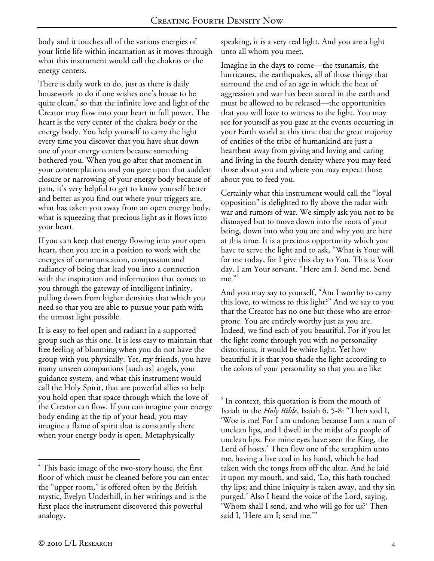body and it touches all of the various energies of your little life within incarnation as it moves through what this instrument would call the chakras or the energy centers.

There is daily work to do, just as there is daily housework to do if one wishes one's house to be quite clean,<sup>4</sup> so that the infinite love and light of the Creator may flow into your heart in full power. The heart is the very center of the chakra body or the energy body. You help yourself to carry the light every time you discover that you have shut down one of your energy centers because something bothered you. When you go after that moment in your contemplations and you gaze upon that sudden closure or narrowing of your energy body because of pain, it's very helpful to get to know yourself better and better as you find out where your triggers are, what has taken you away from an open energy body, what is squeezing that precious light as it flows into your heart.

If you can keep that energy flowing into your open heart, then you are in a position to work with the energies of communication, compassion and radiancy of being that lead you into a connection with the inspiration and information that comes to you through the gateway of intelligent infinity, pulling down from higher densities that which you need so that you are able to pursue your path with the utmost light possible.

It is easy to feel open and radiant in a supported group such as this one. It is less easy to maintain that free feeling of blooming when you do not have the group with you physically. Yet, my friends, you have many unseen companions [such as] angels, your guidance system, and what this instrument would call the Holy Spirit, that are powerful allies to help you hold open that space through which the love of the Creator can flow. If you can imagine your energy body ending at the tip of your head, you may imagine a flame of spirit that is constantly there when your energy body is open. Metaphysically

speaking, it is a very real light. And you are a light unto all whom you meet.

Imagine in the days to come—the tsunamis, the hurricanes, the earthquakes, all of those things that surround the end of an age in which the heat of aggression and war has been stored in the earth and must be allowed to be released—the opportunities that you will have to witness to the light. You may see for yourself as you gaze at the events occurring in your Earth world at this time that the great majority of entities of the tribe of humankind are just a heartbeat away from giving and loving and caring and living in the fourth density where you may feed those about you and where you may expect those about you to feed you.

Certainly what this instrument would call the "loyal opposition" is delighted to fly above the radar with war and rumors of war. We simply ask you not to be dismayed but to move down into the roots of your being, down into who you are and why you are here at this time. It is a precious opportunity which you have to serve the light and to ask, "What is Your will for me today, for I give this day to You. This is Your day. I am Your servant. "Here am I. Send me. Send  $me.$ "

And you may say to yourself, "Am I worthy to carry this love, to witness to this light?" And we say to you that the Creator has no one but those who are errorprone. You are entirely worthy just as you are. Indeed, we find each of you beautiful. For if you let the light come through you with no personality distortions, it would be white light. Yet how beautiful it is that you shade the light according to the colors of your personality so that you are like

 $\overline{a}$  $4$  This basic image of the two-story house, the first floor of which must be cleaned before you can enter the "upper room," is offered often by the British mystic, Evelyn Underhill, in her writings and is the first place the instrument discovered this powerful analogy.

 $\overline{a}$ <sup>5</sup> In context, this quotation is from the mouth of Isaiah in the *Holy Bible*, Isaiah 6, 5-8: "Then said I, 'Woe is me! For I am undone; because I am a man of unclean lips, and I dwell in the midst of a people of unclean lips. For mine eyes have seen the King, the Lord of hosts.' Then flew one of the seraphim unto me, having a live coal in his hand, which he had taken with the tongs from off the altar. And he laid it upon my mouth, and said, 'Lo, this hath touched thy lips; and thine iniquity is taken away, and thy sin purged.' Also I heard the voice of the Lord, saying, 'Whom shall I send, and who will go for us?' Then said I, 'Here am I; send me.'"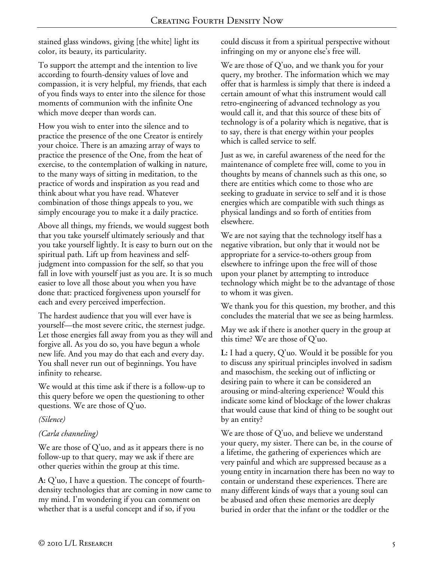stained glass windows, giving [the white] light its color, its beauty, its particularity.

To support the attempt and the intention to live according to fourth-density values of love and compassion, it is very helpful, my friends, that each of you finds ways to enter into the silence for those moments of communion with the infinite One which move deeper than words can.

How you wish to enter into the silence and to practice the presence of the one Creator is entirely your choice. There is an amazing array of ways to practice the presence of the One, from the heat of exercise, to the contemplation of walking in nature, to the many ways of sitting in meditation, to the practice of words and inspiration as you read and think about what you have read. Whatever combination of those things appeals to you, we simply encourage you to make it a daily practice.

Above all things, my friends, we would suggest both that you take yourself ultimately seriously and that you take yourself lightly. It is easy to burn out on the spiritual path. Lift up from heaviness and selfjudgment into compassion for the self, so that you fall in love with yourself just as you are. It is so much easier to love all those about you when you have done that: practiced forgiveness upon yourself for each and every perceived imperfection.

The hardest audience that you will ever have is yourself—the most severe critic, the sternest judge. Let those energies fall away from you as they will and forgive all. As you do so, you have begun a whole new life. And you may do that each and every day. You shall never run out of beginnings. You have infinity to rehearse.

We would at this time ask if there is a follow-up to this query before we open the questioning to other questions. We are those of Q'uo.

#### *(Silence)*

## *(Carla channeling)*

We are those of Q'uo, and as it appears there is no follow-up to that query, may we ask if there are other queries within the group at this time.

**A:** Q'uo, I have a question. The concept of fourthdensity technologies that are coming in now came to my mind. I'm wondering if you can comment on whether that is a useful concept and if so, if you

could discuss it from a spiritual perspective without infringing on my or anyone else's free will.

We are those of Q'uo, and we thank you for your query, my brother. The information which we may offer that is harmless is simply that there is indeed a certain amount of what this instrument would call retro-engineering of advanced technology as you would call it, and that this source of these bits of technology is of a polarity which is negative, that is to say, there is that energy within your peoples which is called service to self.

Just as we, in careful awareness of the need for the maintenance of complete free will, come to you in thoughts by means of channels such as this one, so there are entities which come to those who are seeking to graduate in service to self and it is those energies which are compatible with such things as physical landings and so forth of entities from elsewhere.

We are not saying that the technology itself has a negative vibration, but only that it would not be appropriate for a service-to-others group from elsewhere to infringe upon the free will of those upon your planet by attempting to introduce technology which might be to the advantage of those to whom it was given.

We thank you for this question, my brother, and this concludes the material that we see as being harmless.

May we ask if there is another query in the group at this time? We are those of Q'uo.

**L:** I had a query, Q'uo. Would it be possible for you to discuss any spiritual principles involved in sadism and masochism, the seeking out of inflicting or desiring pain to where it can be considered an arousing or mind-altering experience? Would this indicate some kind of blockage of the lower chakras that would cause that kind of thing to be sought out by an entity?

We are those of Q'uo, and believe we understand your query, my sister. There can be, in the course of a lifetime, the gathering of experiences which are very painful and which are suppressed because as a young entity in incarnation there has been no way to contain or understand these experiences. There are many different kinds of ways that a young soul can be abused and often these memories are deeply buried in order that the infant or the toddler or the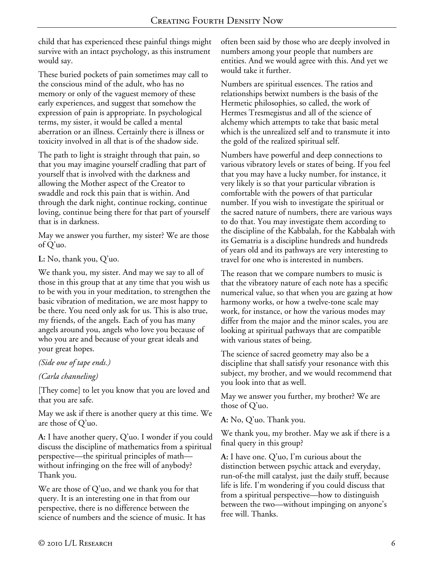child that has experienced these painful things might survive with an intact psychology, as this instrument would say.

These buried pockets of pain sometimes may call to the conscious mind of the adult, who has no memory or only of the vaguest memory of these early experiences, and suggest that somehow the expression of pain is appropriate. In psychological terms, my sister, it would be called a mental aberration or an illness. Certainly there is illness or toxicity involved in all that is of the shadow side.

The path to light is straight through that pain, so that you may imagine yourself cradling that part of yourself that is involved with the darkness and allowing the Mother aspect of the Creator to swaddle and rock this pain that is within. And through the dark night, continue rocking, continue loving, continue being there for that part of yourself that is in darkness.

May we answer you further, my sister? We are those of Q'uo.

**L:** No, thank you, Q'uo.

We thank you, my sister. And may we say to all of those in this group that at any time that you wish us to be with you in your meditation, to strengthen the basic vibration of meditation, we are most happy to be there. You need only ask for us. This is also true, my friends, of the angels. Each of you has many angels around you, angels who love you because of who you are and because of your great ideals and your great hopes.

*(Side one of tape ends.)* 

## *(Carla channeling)*

[They come] to let you know that you are loved and that you are safe.

May we ask if there is another query at this time. We are those of Q'uo.

**A:** I have another query, Q'uo. I wonder if you could discuss the discipline of mathematics from a spiritual perspective—the spiritual principles of math without infringing on the free will of anybody? Thank you.

We are those of Q'uo, and we thank you for that query. It is an interesting one in that from our perspective, there is no difference between the science of numbers and the science of music. It has often been said by those who are deeply involved in numbers among your people that numbers are entities. And we would agree with this. And yet we would take it further.

Numbers are spiritual essences. The ratios and relationships betwixt numbers is the basis of the Hermetic philosophies, so called, the work of Hermes Tresmegistus and all of the science of alchemy which attempts to take that basic metal which is the unrealized self and to transmute it into the gold of the realized spiritual self.

Numbers have powerful and deep connections to various vibratory levels or states of being. If you feel that you may have a lucky number, for instance, it very likely is so that your particular vibration is comfortable with the powers of that particular number. If you wish to investigate the spiritual or the sacred nature of numbers, there are various ways to do that. You may investigate them according to the discipline of the Kabbalah, for the Kabbalah with its Gematria is a discipline hundreds and hundreds of years old and its pathways are very interesting to travel for one who is interested in numbers.

The reason that we compare numbers to music is that the vibratory nature of each note has a specific numerical value, so that when you are gazing at how harmony works, or how a twelve-tone scale may work, for instance, or how the various modes may differ from the major and the minor scales, you are looking at spiritual pathways that are compatible with various states of being.

The science of sacred geometry may also be a discipline that shall satisfy your resonance with this subject, my brother, and we would recommend that you look into that as well.

May we answer you further, my brother? We are those of Q'uo.

**A:** No, Q'uo. Thank you.

We thank you, my brother. May we ask if there is a final query in this group?

**A:** I have one. Q'uo, I'm curious about the distinction between psychic attack and everyday, run-of-the mill catalyst, just the daily stuff, because life is life. I'm wondering if you could discuss that from a spiritual perspective—how to distinguish between the two—without impinging on anyone's free will. Thanks.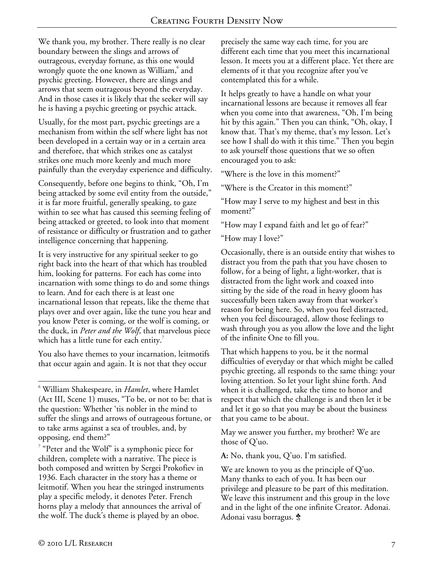We thank you, my brother. There really is no clear boundary between the slings and arrows of outrageous, everyday fortune, as this one would wrongly quote the one known as William,<sup>6</sup> and psychic greeting. However, there are slings and arrows that seem outrageous beyond the everyday. And in those cases it is likely that the seeker will say he is having a psychic greeting or psychic attack.

Usually, for the most part, psychic greetings are a mechanism from within the self where light has not been developed in a certain way or in a certain area and therefore, that which strikes one as catalyst strikes one much more keenly and much more painfully than the everyday experience and difficulty.

Consequently, before one begins to think, "Oh, I'm being attacked by some evil entity from the outside," it is far more fruitful, generally speaking, to gaze within to see what has caused this seeming feeling of being attacked or greeted, to look into that moment of resistance or difficulty or frustration and to gather intelligence concerning that happening.

It is very instructive for any spiritual seeker to go right back into the heart of that which has troubled him, looking for patterns. For each has come into incarnation with some things to do and some things to learn. And for each there is at least one incarnational lesson that repeats, like the theme that plays over and over again, like the tune you hear and you know Peter is coming, or the wolf is coming, or the duck, in *Peter and the Wolf*, that marvelous piece which has a little tune for each entity.<sup>7</sup>

You also have themes to your incarnation, leitmotifs that occur again and again. It is not that they occur

 $7$  "Peter and the Wolf" is a symphonic piece for children, complete with a narrative. The piece is both composed and written by Sergei Prokofiev in 1936. Each character in the story has a theme or leitmotif. When you hear the stringed instruments play a specific melody, it denotes Peter. French horns play a melody that announces the arrival of the wolf. The duck's theme is played by an oboe.

precisely the same way each time, for you are different each time that you meet this incarnational lesson. It meets you at a different place. Yet there are elements of it that you recognize after you've contemplated this for a while.

It helps greatly to have a handle on what your incarnational lessons are because it removes all fear when you come into that awareness, "Oh, I'm being hit by this again." Then you can think, "Oh, okay, I know that. That's my theme, that's my lesson. Let's see how I shall do with it this time." Then you begin to ask yourself those questions that we so often encouraged you to ask:

"Where is the love in this moment?"

"Where is the Creator in this moment?"

"How may I serve to my highest and best in this moment?"

"How may I expand faith and let go of fear?"

"How may I love?"

Occasionally, there is an outside entity that wishes to distract you from the path that you have chosen to follow, for a being of light, a light-worker, that is distracted from the light work and coaxed into sitting by the side of the road in heavy gloom has successfully been taken away from that worker's reason for being here. So, when you feel distracted, when you feel discouraged, allow those feelings to wash through you as you allow the love and the light of the infinite One to fill you.

That which happens to you, be it the normal difficulties of everyday or that which might be called psychic greeting, all responds to the same thing: your loving attention. So let your light shine forth. And when it is challenged, take the time to honor and respect that which the challenge is and then let it be and let it go so that you may be about the business that you came to be about.

May we answer you further, my brother? We are those of Q'uo.

**A:** No, thank you, Q'uo. I'm satisfied.

We are known to you as the principle of Q'uo. Many thanks to each of you. It has been our privilege and pleasure to be part of this meditation. We leave this instrument and this group in the love and in the light of the one infinite Creator. Adonai. Adonai vasu borragus.  $\dot{\mathbf{\hat{x}}}$ 

1

<sup>6</sup> William Shakespeare, in *Hamlet*, where Hamlet (Act III, Scene 1) muses, "To be, or not to be: that is the question: Whether 'tis nobler in the mind to suffer the slings and arrows of outrageous fortune, or to take arms against a sea of troubles, and, by opposing, end them?"